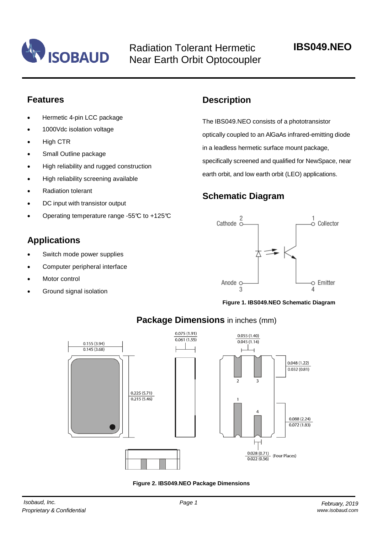

Radiation Tolerant Hermetic Near Earth Orbit Optocoupler

## **Features**

- Hermetic 4-pin LCC package
- 1000Vdc isolation voltage
- High CTR
- Small Outline package
- High reliability and rugged construction
- High reliability screening available
- Radiation tolerant
- DC input with transistor output
- Operating temperature range -55°C to +125°C

## **Applications**

- Switch mode power supplies
- Computer peripheral interface
- Motor control
- Ground signal isolation

## **Description**

The IBS049.NEO consists of a phototransistor optically coupled to an AlGaAs infrared-emitting diode in a leadless hermetic surface mount package, specifically screened and qualified for NewSpace, near earth orbit, and low earth orbit (LEO) applications.

## **Schematic Diagram**



**Figure 1. IBS049.NEO Schematic Diagram**



## **Package Dimensions** in inches (mm)

**Figure 2. IBS049.NEO Package Dimensions**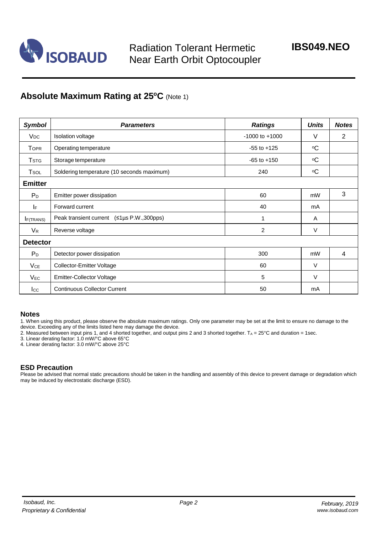

## **Absolute Maximum Rating at 25<sup>o</sup>C** (Note 1)

| <b>Symbol</b>          | <b>Parameters</b>                          | <b>Ratings</b>     | <b>Units</b> | <b>Notes</b>   |  |  |
|------------------------|--------------------------------------------|--------------------|--------------|----------------|--|--|
| <b>V</b> <sub>DC</sub> | <b>Isolation voltage</b>                   | $-1000$ to $+1000$ | V            | $\overline{2}$ |  |  |
| <b>TOPR</b>            | Operating temperature                      | $-55$ to $+125$    | $\circ$ C    |                |  |  |
| Tstg                   | Storage temperature                        | $-65$ to $+150$    | $\circ$ C    |                |  |  |
| Tsol                   | Soldering temperature (10 seconds maximum) | 240                | $\rm ^{o}C$  |                |  |  |
| <b>Emitter</b>         |                                            |                    |              |                |  |  |
| $P_D$                  | Emitter power dissipation                  | 60                 | mW           | 3              |  |  |
| IF.                    | Forward current                            | 40                 | mA           |                |  |  |
| <b>I</b> F(TRANS)      | Peak transient current (≤1µs P.W.,300pps)  | 1                  | A            |                |  |  |
| $V_{R}$                | Reverse voltage                            | $\overline{c}$     | V            |                |  |  |
| <b>Detector</b>        |                                            |                    |              |                |  |  |
| $P_D$                  | Detector power dissipation                 | 300                | mW           | 4              |  |  |
| VCE                    | Collector-Emitter Voltage                  | 60                 | V            |                |  |  |
| $V_{EC}$               | <b>Emitter-Collector Voltage</b>           | 5                  | V            |                |  |  |
| $_{\rm lcc}$           | <b>Continuous Collector Current</b>        | 50                 | mA           |                |  |  |

#### **Notes**

1. When using this product, please observe the absolute maximum ratings. Only one parameter may be set at the limit to ensure no damage to the device. Exceeding any of the limits listed here may damage the device.

2. Measured between input pins 1, and 4 shorted together, and output pins 2 and 3 shorted together.  $T_A = 25^{\circ}$ C and duration = 1sec.

3. Linear derating factor: 1.0 mW/°C above 65°C

4. Linear derating factor: 3.0 mW/°C above 25°C

#### **ESD Precaution**

Please be advised that normal static precautions should be taken in the handling and assembly of this device to prevent damage or degradation which may be induced by electrostatic discharge (ESD).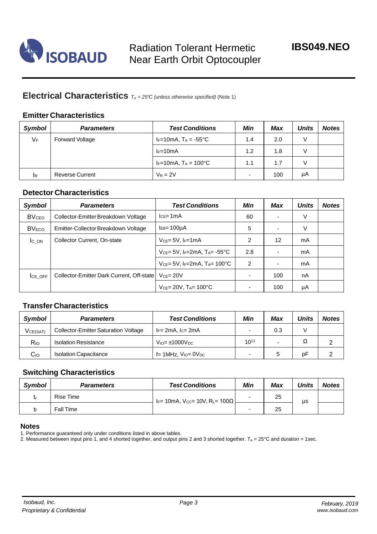

## **Electrical Characteristics** *<sup>T</sup><sup>A</sup> <sup>=</sup> 25°C (unless otherwise specified)* (Note 1)

### **Emitter Characteristics**

| <b>Symbol</b> | <b>Parameters</b>      | <b>Test Conditions</b>              | Min                      | Max | <b>Units</b> | <b>Notes</b> |
|---------------|------------------------|-------------------------------------|--------------------------|-----|--------------|--------------|
| $V_F$         | Forward Voltage        | IF=10mA, $T_A = -55^{\circ}C$       | 1.4                      | 2.0 | V            |              |
|               |                        | $I_F=10mA$                          | 1.2                      | 1.8 | V            |              |
|               |                        | $I_F = 10mA$ , $T_A = 100^{\circ}C$ | 1.1                      | 1.7 | V            |              |
| <b>I</b> R    | <b>Reverse Current</b> | $V_R = 2V$                          | $\overline{\phantom{0}}$ | 100 | μA           |              |

#### **Detector Characteristics**

| <b>Symbol</b>           | <b>Parameters</b>                         | <b>Test Conditions</b>                                     | Min           | <b>Max</b>               | <b>Units</b> | <b>Notes</b> |
|-------------------------|-------------------------------------------|------------------------------------------------------------|---------------|--------------------------|--------------|--------------|
| <b>BV<sub>CEO</sub></b> | Collector-Emitter Breakdown Voltage       | $lce = 1mA$                                                | 60            | ۰                        | V            |              |
| <b>BV<sub>ECO</sub></b> | Emitter-Collector Breakdown Voltage       | $I_{EB} = 100 \mu A$                                       | 5             | $\overline{\phantom{0}}$ | V            |              |
| <b>IC ON</b>            | Collector Current, On-state               | $V_{CE} = 5V$ , I <sub>F</sub> =1mA                        | 2             | $12 \overline{ }$        | mA           |              |
|                         |                                           | $V_{CE}$ = 5V, I <sub>F</sub> =2mA, T <sub>A</sub> = -55°C | 2.8           |                          | mA           |              |
|                         |                                           | $V_{CE}$ = 5V, I <sub>F</sub> =2mA, T <sub>A</sub> = 100°C | $\mathcal{P}$ | $\overline{\phantom{0}}$ | mA           |              |
| ICE OFF                 | Collector-Emitter Dark Current, Off-state | $VCF = 20V$                                                |               | 100                      | nA           |              |
|                         |                                           | $V_{CE} = 20V$ , $T_{A} = 100^{\circ}C$                    |               | 100                      | μA           |              |

### **Transfer Characteristics**

| Symbol          | <b>Parameters</b>                           | <b>Test Conditions</b>                   | Min       | Max | Units | <b>Notes</b> |
|-----------------|---------------------------------------------|------------------------------------------|-----------|-----|-------|--------------|
| VCE(SAT)        | <b>Collector-Emitter Saturation Voltage</b> | $I_F$ = 2mA, $I_C$ = 2mA                 |           | 0.3 |       |              |
| R <sub>IO</sub> | <b>Isolation Resistance</b>                 | $V_{\text{IO}} = \pm 1000 V_{\text{DC}}$ | $10^{11}$ | -   | Ω     |              |
| Cıo             | <b>Isolation Capacitance</b>                | $f = 1$ MHz, $V_{IO} = 0V_{DC}$          |           |     | рF    | ⌒            |

### **Switching Characteristics**

| <b>Symbol</b> | <b>Parameters</b> | <b>Test Conditions</b>         | Min | Max | Units | <b>Notes</b> |
|---------------|-------------------|--------------------------------|-----|-----|-------|--------------|
|               | Rise Time         | IF= 10mA, Vcc= 10V, RL= 100Ω L | -   | 25  | μs    |              |
|               | <b>Fall Time</b>  |                                |     | 25  |       |              |

#### **Notes**

1. Performance guaranteed only under conditions listed in above tables.

2. Measured between input pins 1, and 4 shorted together, and output pins 2 and 3 shorted together.  $T_A = 25^{\circ}$ C and duration = 1sec.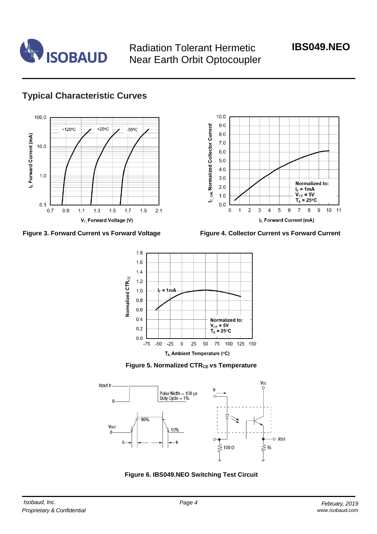

Radiation Tolerant Hermetic Near Earth Orbit Optocoupler

# **IBS049.NEO**

# **Typical Characteristic Curves**







**Figure 3. Forward Current vs Forward Voltage Figure 4. Collector Current vs Forward Current**